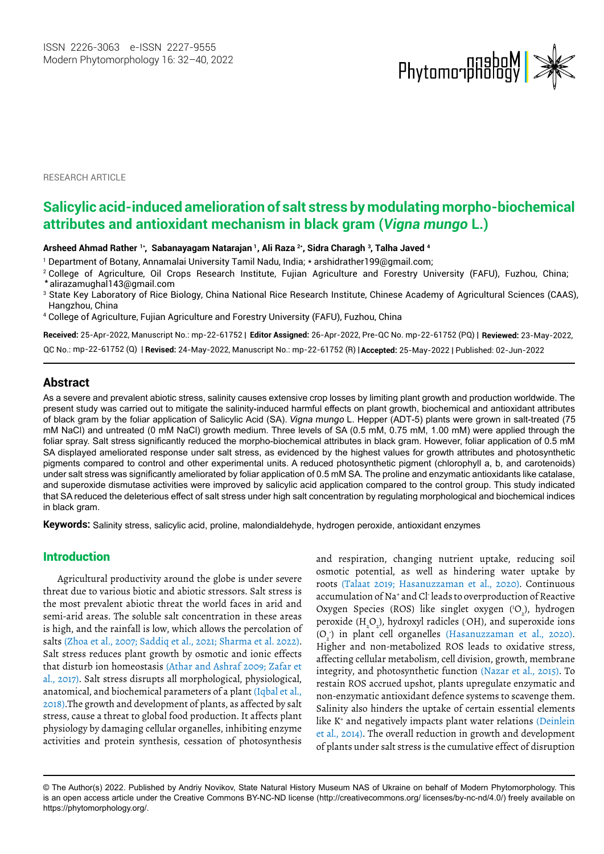

RESEARCH ARTICLE

# **Salicylic acid-induced amelioration of salt stress by modulating morpho-biochemical attributes and antioxidant mechanism in black gram (***Vigna mungo* **L.)**

**Arsheed Ahmad Rather 1\* , Sabanayagam Natarajan 1 , Ali Raza 2\* , Sidra Charagh 3 , Talha Javed 4**

1 Department of Botany, Annamalai University Tamil Nadu, India; [\\* arshidrather199@gmail.com](mailto:arshidrather199@gmail.com);

2 College of Agriculture, Oil Crops Research Institute, Fujian Agriculture and Forestry University (FAFU), Fuzhou, China; [alirazamughal143@gmail.com](mailto:alirazamughal143@gmail.com) \*

- <sup>3</sup> State Key Laboratory of Rice Biology, China National Rice Research Institute, Chinese Academy of Agricultural Sciences (CAAS), Hangzhou, China
- 4 College of Agriculture, Fujian Agriculture and Forestry University (FAFU), Fuzhou, China

**Received:** 25-Apr-2022, Manuscript No.: mp-22-61752 | **Editor Assigned:** 26-Apr-2022, Pre-QC No. mp-22-61752 (PQ) | **Reviewed:** 23-May-2022, mp-22-61752 (Q) | **Revised:** 24-May-2022, Manuscript No.: mp-22-61752 (R) | **Accepted:** 25-May-2022 | Published: 02-Jun-2022 QC No.:

# **Abstract**

As a severe and prevalent abiotic stress, salinity causes extensive crop losses by limiting plant growth and production worldwide. The present study was carried out to mitigate the salinity-induced harmful effects on plant growth, biochemical and antioxidant attributes mM NaCl) and untreated (0 mM NaCl) growth medium. Three levels of SA (0.5 mM, 0.75 mM, 1.00 mM) were applied through the foliar spray. Salt stress significantly reduced the morpho-biochemical attributes in black gram. However, foliar application of 0.5 mM SA displayed ameliorated response under salt stress, as evidenced by the highest values for growth attributes and photosynthetic pigments compared to control and other experimental units. A reduced photosynthetic pigment (chlorophyll a, b, and carotenoids) under salt stress was significantly ameliorated by foliar application of 0.5 mM SA. The proline and enzymatic antioxidants like catalase, and superoxide dismutase activities were improved by salicylic acid application compared to the control group. This study indicated that SA reduced the deleterious effect of salt stress under high salt concentration by regulating morphological and biochemical indices in black gram. of black gram by the foliar application of Salicylic Acid (SA). *V igna mungo* L. Hepper (ADT-5) plants were grown in salt-treated (75

**Keywords:** Salinity stress, salicylic acid, proline, malondialdehyde, hydrogen peroxide, antioxidant enzymes

# Introduction

Agricultural productivity around the globe is under severe threat due to various biotic and abiotic stressors. Salt stress is the most prevalent abiotic threat the world faces in arid and semi-arid areas. The soluble salt concentration in these areas is high, and the rainfall is low, which allows the percolation of salts (Zhoa et al., 2007; Saddiq et al., 2021; Sharma et al. 2022). Salt stress reduces plant growth by osmotic and ionic effects that disturb ion homeostasis (Athar and Ashraf 2009; Zafar et al., 2017). Salt stress disrupts all morphological, physiological, anatomical, and biochemical parameters of a plant (Iqbal et al., 2018).The growth and development of plants, as affected by salt stress, cause a threat to global food production. It affects plant physiology by damaging cellular organelles, inhibiting enzyme activities and protein synthesis, cessation of photosynthesis

and respiration, changing nutrient uptake, reducing soil osmotic potential, as well as hindering water uptake by roots (Talaat 2019; Hasanuzzaman et al., 2020). Continuous accumulation of Na+ and Cl- leads to overproduction of Reactive Oxygen Species (ROS) like singlet oxygen ('O<sub>2</sub>), hydrogen peroxide  $(H_2O_2)$ , hydroxyl radicles (OH), and superoxide ions (O<sub>2</sub>) in plant cell organelles (Hasanuzzaman et al., 2020). Higher and non-metabolized ROS leads to oxidative stress, affecting cellular metabolism, cell division, growth, membrane integrity, and photosynthetic function (Nazar et al., 2015). To restain ROS accrued upshot, plants upregulate enzymatic and non-enzymatic antioxidant defence systems to scavenge them. Salinity also hinders the uptake of certain essential elements like K<sup>+</sup> and negatively impacts plant water relations (Deinlein et al., 2014). The overall reduction in growth and development of plants under salt stress is the cumulative effect of disruption

<sup>©</sup> The Author(s) 2022. Published by Andriy Novikov, State Natural History Museum NAS of Ukraine on behalf of Modern Phytomorphology. This is an open access article under the Creative Commons BY-NC-ND license (http://creativecommons.org/ licenses/by-nc-nd/4.0/) freely available on https://phytomorphology.org/.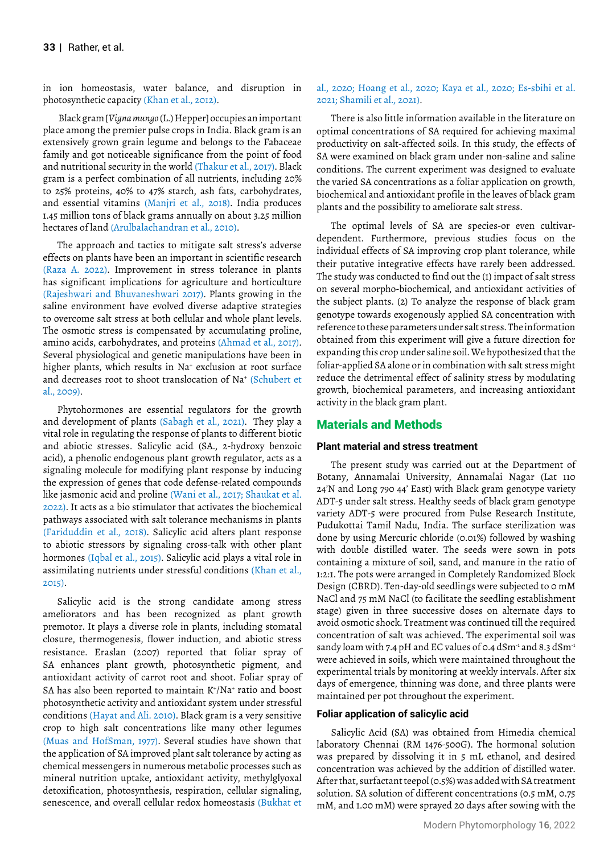in ion homeostasis, water balance, and disruption in photosynthetic capacity (Khan et al., 2012).

 Black gram [*Vigna mungo* (L.) Hepper] occupies an important place among the premier pulse crops in India. Black gram is an extensively grown grain legume and belongs to the Fabaceae family and got noticeable significance from the point of food and nutritional security in the world (Thakur et al., 2017). Black gram is a perfect combination of all nutrients, including 20% to 25% proteins, 40% to 47% starch, ash fats, carbohydrates, and essential vitamins (Manjri et al., 2018). India produces 1.45 million tons of black grams annually on about 3.25 million hectares of land (Arulbalachandran et al., 2010).

The approach and tactics to mitigate salt stress's adverse effects on plants have been an important in scientific research (Raza A. 2022). Improvement in stress tolerance in plants has significant implications for agriculture and horticulture (Rajeshwari and Bhuvaneshwari 2017). Plants growing in the saline environment have evolved diverse adaptive strategies to overcome salt stress at both cellular and whole plant levels. The osmotic stress is compensated by accumulating proline, amino acids, carbohydrates, and proteins (Ahmad et al., 2017). Several physiological and genetic manipulations have been in higher plants, which results in Na+ exclusion at root surface and decreases root to shoot translocation of Na+ (Schubert et al., 2009).

Phytohormones are essential regulators for the growth and development of plants (Sabagh et al., 2021). They play a vital role in regulating the response of plants to different biotic and abiotic stresses. Salicylic acid (SA., 2-hydroxy benzoic acid), a phenolic endogenous plant growth regulator, acts as a signaling molecule for modifying plant response by inducing the expression of genes that code defense-related compounds like jasmonic acid and proline (Wani et al., 2017; Shaukat et al. 2022). It acts as a bio stimulator that activates the biochemical pathways associated with salt tolerance mechanisms in plants (Fariduddin et al., 2018). Salicylic acid alters plant response to abiotic stressors by signaling cross-talk with other plant hormones (Iqbal et al., 2015). Salicylic acid plays a vital role in assimilating nutrients under stressful conditions (Khan et al., 2015).

Salicylic acid is the strong candidate among stress ameliorators and has been recognized as plant growth premotor. It plays a diverse role in plants, including stomatal closure, thermogenesis, flower induction, and abiotic stress resistance. Eraslan (2007) reported that foliar spray of SA enhances plant growth, photosynthetic pigment, and antioxidant activity of carrot root and shoot. Foliar spray of SA has also been reported to maintain K+ /Na+ ratio and boost photosynthetic activity and antioxidant system under stressful conditions (Hayat and Ali. 2010). Black gram is a very sensitive crop to high salt concentrations like many other legumes (Muas and HofSman, 1977). Several studies have shown that the application of SA improved plant salt tolerance by acting as chemical messengers in numerous metabolic processes such as mineral nutrition uptake, antioxidant activity, methylglyoxal detoxification, photosynthesis, respiration, cellular signaling, senescence, and overall cellular redox homeostasis (Bukhat et

al., 2020; Hoang et al., 2020; Kaya et al., 2020; Es-sbihi et al. 2021; Shamili et al., 2021).

There is also little information available in the literature on optimal concentrations of SA required for achieving maximal productivity on salt-affected soils. In this study, the effects of SA were examined on black gram under non-saline and saline conditions. The current experiment was designed to evaluate the varied SA concentrations as a foliar application on growth, biochemical and antioxidant profile in the leaves of black gram plants and the possibility to ameliorate salt stress.

The optimal levels of SA are species-or even cultivardependent. Furthermore, previous studies focus on the individual effects of SA improving crop plant tolerance, while their putative integrative effects have rarely been addressed. The study was conducted to find out the (1) impact of salt stress on several morpho-biochemical, and antioxidant activities of the subject plants. (2) To analyze the response of black gram genotype towards exogenously applied SA concentration with reference to these parameters under salt stress. The information obtained from this experiment will give a future direction for expanding this crop under saline soil. We hypothesized that the foliar-applied SA alone or in combination with salt stress might reduce the detrimental effect of salinity stress by modulating growth, biochemical parameters, and increasing antioxidant activity in the black gram plant.

# Materials and Methods

#### **Plant material and stress treatment**

The present study was carried out at the Department of Botany, Annamalai University, Annamalai Nagar (Lat 110 24'N and Long 790 44' East) with Black gram genotype variety ADT-5 under salt stress. Healthy seeds of black gram genotype variety ADT-5 were procured from Pulse Research Institute, Pudukottai Tamil Nadu, India. The surface sterilization was done by using Mercuric chloride (0.01%) followed by washing with double distilled water. The seeds were sown in pots containing a mixture of soil, sand, and manure in the ratio of 1:2:1. The pots were arranged in Completely Randomized Block Design (CBRD). Ten-day-old seedlings were subjected to 0 mM NaCl and 75 mM NaCl (to facilitate the seedling establishment stage) given in three successive doses on alternate days to avoid osmotic shock. Treatment was continued till the required concentration of salt was achieved. The experimental soil was sandy loam with 7.4 pH and EC values of 0.4 dSm<sup>-1</sup> and 8.3 dSm<sup>-1</sup> were achieved in soils, which were maintained throughout the experimental trials by monitoring at weekly intervals. After six days of emergence, thinning was done, and three plants were maintained per pot throughout the experiment.

### **Foliar application of salicylic acid**

Salicylic Acid (SA) was obtained from Himedia chemical laboratory Chennai (RM 1476-500G). The hormonal solution was prepared by dissolving it in 5 mL ethanol, and desired concentration was achieved by the addition of distilled water. After that, surfactant teepol (0.5%) was added with SA treatment solution. SA solution of different concentrations (0.5 mM, 0.75 mM, and 1.00 mM) were sprayed 20 days after sowing with the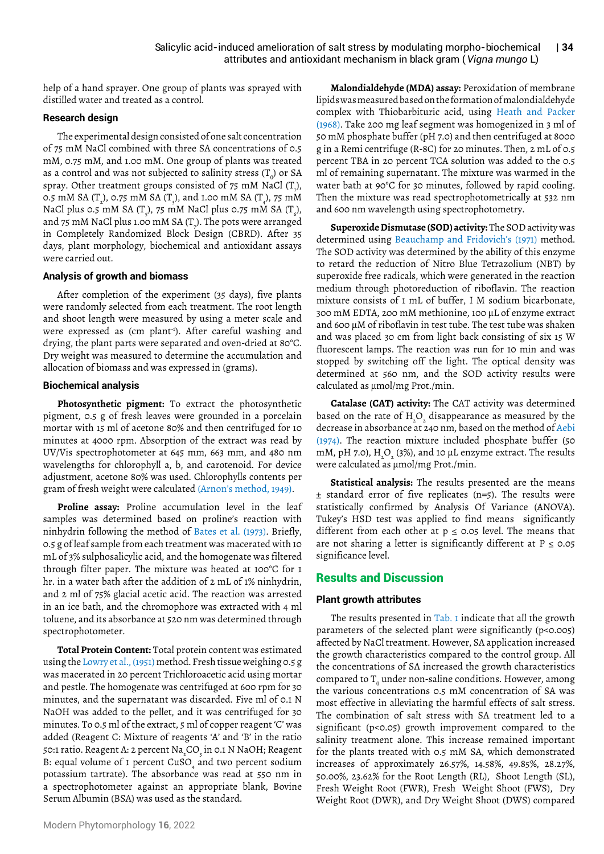help of a hand sprayer. One group of plants was sprayed with distilled water and treated as a control.

#### **Research design**

The experimental design consisted of one salt concentration of 75 mM NaCl combined with three SA concentrations of 0.5 mM, 0.75 mM, and 1.00 mM. One group of plants was treated as a control and was not subjected to salinity stress (T $_{\rm o}$ ) or SA spray. Other treatment groups consisted of 75 mM NaCl  $(T_1)$ , 0.5 mM SA (T<sub>2</sub>), 0.75 mM SA (T<sub>3</sub>), and 1.00 mM SA (T<sub>4</sub>), 75 mM NaCl plus 0.5 mM SA  $(T<sub>s</sub>)$ , 75 mM NaCl plus 0.75 mM SA  $(T<sub>s</sub>)$ , and 75 mM NaCl plus 1.00 mM SA (T<sub>7</sub>). The pots were arranged in Completely Randomized Block Design (CBRD). After 35 days, plant morphology, biochemical and antioxidant assays were carried out.

### **Analysis of growth and biomass**

After completion of the experiment (35 days), five plants were randomly selected from each treatment. The root length and shoot length were measured by using a meter scale and were expressed as (cm plant<sup>-1</sup>). After careful washing and drying, the plant parts were separated and oven-dried at 80°C. Dry weight was measured to determine the accumulation and allocation of biomass and was expressed in (grams).

### **Biochemical analysis**

**Photosynthetic pigment:** To extract the photosynthetic pigment, 0.5 g of fresh leaves were grounded in a porcelain mortar with 15 ml of acetone 80% and then centrifuged for 10 minutes at 4000 rpm. Absorption of the extract was read by UV/Vis spectrophotometer at 645 mm, 663 mm, and 480 nm wavelengths for chlorophyll a, b, and carotenoid. For device adjustment, acetone 80% was used. Chlorophylls contents per gram of fresh weight were calculated (Arnon's method, 1949).

**Proline assay:** Proline accumulation level in the leaf samples was determined based on proline's reaction with ninhydrin following the method of Bates et al. (1973). Briefly, 0.5 g of leaf sample from each treatment was macerated with 10 mL of 3% sulphosalicylic acid, and the homogenate was filtered through filter paper. The mixture was heated at 100°C for 1 hr. in a water bath after the addition of 2 mL of 1% ninhydrin, and 2 ml of 75% glacial acetic acid. The reaction was arrested in an ice bath, and the chromophore was extracted with 4 ml toluene, and its absorbance at 520 nm was determined through spectrophotometer.

**Total Protein Content:** Total protein content was estimated using the Lowry et al., (1951) method. Fresh tissue weighing 0.5 g was macerated in 20 percent Trichloroacetic acid using mortar and pestle. The homogenate was centrifuged at 600 rpm for 30 minutes, and the supernatant was discarded. Five ml of 0.1 N NaOH was added to the pellet, and it was centrifuged for 30 minutes. To 0.5 ml of the extract, 5 ml of copper reagent 'C' was added (Reagent C: Mixture of reagents 'A' and 'B' in the ratio 50:1 ratio. Reagent A: 2 percent Na<sub>2</sub>CO<sub>3</sub> in 0.1 N NaOH; Reagent B: equal volume of 1 percent CuSO<sub>4</sub> and two percent sodium potassium tartrate). The absorbance was read at 550 nm in a spectrophotometer against an appropriate blank, Bovine Serum Albumin (BSA) was used as the standard.

**Malondialdehyde (MDA) assay:** Peroxidation of membrane lipids was measured based on the formation of malondialdehyde complex with Thiobarbituric acid, using Heath and Packer (1968). Take 200 mg leaf segment was homogenized in 3 ml of 50 mM phosphate buffer (pH 7.0) and then centrifuged at 8000 g in a Remi centrifuge (R-8C) for 20 minutes. Then, 2 mL of 0.5 percent TBA in 20 percent TCA solution was added to the 0.5 ml of remaining supernatant. The mixture was warmed in the water bath at 90°C for 30 minutes, followed by rapid cooling. Then the mixture was read spectrophotometrically at 532 nm and 600 nm wavelength using spectrophotometry.

**Superoxide Dismutase (SOD) activity:** The SOD activity was determined using Beauchamp and Fridovich's (1971) method. The SOD activity was determined by the ability of this enzyme to retard the reduction of Nitro Blue Tetrazolium (NBT) by superoxide free radicals, which were generated in the reaction medium through photoreduction of riboflavin. The reaction mixture consists of 1 mL of buffer, I M sodium bicarbonate, 300 mM EDTA, 200 mM methionine, 100 µL of enzyme extract and 600 µM of riboflavin in test tube. The test tube was shaken and was placed 30 cm from light back consisting of six 15 W fluorescent lamps. The reaction was run for 10 min and was stopped by switching off the light. The optical density was determined at 560 nm, and the SOD activity results were calculated as µmol/mg Prot./min.

**Catalase (CAT) activity:** The CAT activity was determined based on the rate of  $\mathtt{H}_{\mathtt{2}}\mathtt{O}_{\mathtt{2}}$  disappearance as measured by the decrease in absorbance at 240 nm, based on the method of Aebi (1974). The reaction mixture included phosphate buffer (50 mM, pH 7.0),  $\text{H}_{\text{2}}\text{O}_{\text{2}}$  (3%), and 10  $\mu$ L enzyme extract. The results were calculated as µmol/mg Prot./min.

**Statistical analysis:** The results presented are the means  $\pm$  standard error of five replicates (n=5). The results were statistically confirmed by Analysis Of Variance (ANOVA). Tukey's HSD test was applied to find means significantly different from each other at  $p \le 0.05$  level. The means that are not sharing a letter is significantly different at  $P \le 0.05$ significance level.

# Results and Discussion

# **Plant growth attributes**

The results presented in Tab. 1 indicate that all the growth parameters of the selected plant were significantly (p<0.005) affected by NaCl treatment. However, SA application increased the growth characteristics compared to the control group. All the concentrations of SA increased the growth characteristics compared to  $\texttt{T}_{\textup{0}}$  under non-saline conditions. However, among the various concentrations 0.5 mM concentration of SA was most effective in alleviating the harmful effects of salt stress. The combination of salt stress with SA treatment led to a significant (p<0.05) growth improvement compared to the salinity treatment alone. This increase remained important for the plants treated with 0.5 mM SA, which demonstrated increases of approximately 26.57%, 14.58%, 49.85%, 28.27%, 50.00%, 23.62% for the Root Length (RL), Shoot Length (SL), Fresh Weight Root (FWR), Fresh Weight Shoot (FWS), Dry Weight Root (DWR), and Dry Weight Shoot (DWS) compared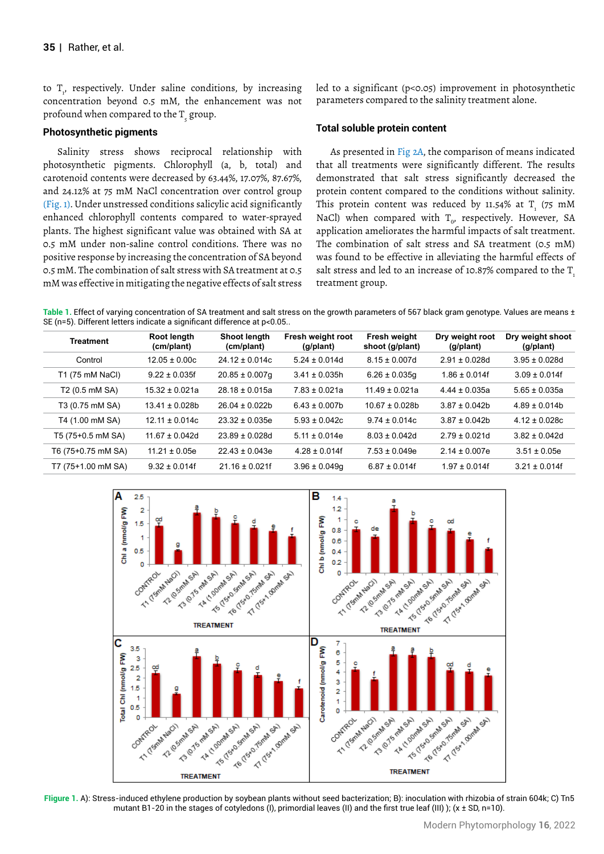to  $T_{1}$ , respectively. Under saline conditions, by increasing concentration beyond 0.5 mM, the enhancement was not profound when compared to the  $\mathrm{T_{_{S}}}$  group.

#### **Photosynthetic pigments**

Salinity stress shows reciprocal relationship with photosynthetic pigments. Chlorophyll (a, b, total) and carotenoid contents were decreased by 63.44%, 17.07%, 87.67%, and 24.12% at 75 mM NaCl concentration over control group (Fig. 1). Under unstressed conditions salicylic acid significantly enhanced chlorophyll contents compared to water-sprayed plants. The highest significant value was obtained with SA at 0.5 mM under non-saline control conditions. There was no positive response by increasing the concentration of SA beyond 0.5 mM. The combination of salt stress with SA treatment at 0.5 mM was effective in mitigating the negative effects of salt stress led to a significant (p<0.05) improvement in photosynthetic parameters compared to the salinity treatment alone.

#### **Total soluble protein content**

As presented in Fig 2A, the comparison of means indicated that all treatments were significantly different. The results demonstrated that salt stress significantly decreased the protein content compared to the conditions without salinity. This protein content was reduced by 11.54% at  $T_{1}$  (75 mM NaCl) when compared with  $T_0$ , respectively. However, SA application ameliorates the harmful impacts of salt treatment. The combination of salt stress and SA treatment (0.5 mM) was found to be effective in alleviating the harmful effects of salt stress and led to an increase of 10.87% compared to the T treatment group.

Table 1. Effect of varying concentration of SA treatment and salt stress on the growth parameters of 567 black gram genotype. Values are means ± SE (n=5). Different letters indicate a significant difference at p<0.05..

| <b>Treatment</b>           | Root length<br>(cm/plant) | <b>Shoot length</b><br>(cm/plant) | Fresh weight root<br>(g/plant) | Fresh weight<br>shoot (g/plant) | Dry weight root<br>(g/plant) | Dry weight shoot<br>(g/plant) |
|----------------------------|---------------------------|-----------------------------------|--------------------------------|---------------------------------|------------------------------|-------------------------------|
| Control                    | $12.05 \pm 0.00c$         | $24.12 \pm 0.014c$                | $5.24 \pm 0.014d$              | $8.15 \pm 0.007$ d              | $2.91 \pm 0.028$ d           | $3.95 \pm 0.028$ d            |
| T1 (75 mM NaCl)            | $9.22 \pm 0.035$ f        | $20.85 \pm 0.007q$                | $3.41 \pm 0.035h$              | $6.26 \pm 0.035q$               | $1.86 \pm 0.014f$            | $3.09 \pm 0.014f$             |
| T <sub>2</sub> (0.5 mM SA) | $15.32 \pm 0.021a$        | $28.18 \pm 0.015a$                | $7.83 \pm 0.021a$              | $11.49 \pm 0.021a$              | $4.44 \pm 0.035a$            | $5.65 \pm 0.035a$             |
| T3 (0.75 mM SA)            | $13.41 \pm 0.028$ b       | $26.04 \pm 0.022$ b               | $6.43 \pm 0.007$ b             | $10.67 \pm 0.028$ b             | $3.87 \pm 0.042$             | $4.89 \pm 0.014$              |
| T4 (1.00 mM SA)            | $12.11 \pm 0.014c$        | $23.32 \pm 0.035e$                | $5.93 \pm 0.042c$              | $9.74 \pm 0.014c$               | $3.87 + 0.042h$              | $412 + 0028c$                 |
| T5 (75+0.5 mM SA)          | $11.67 \pm 0.042$ d       | $23.89 \pm 0.028d$                | $5.11 \pm 0.014e$              | $8.03 \pm 0.042$ d              | $2.79 \pm 0.021d$            | $3.82 \pm 0.042$ d            |
| T6 (75+0.75 mM SA)         | $11.21 \pm 0.05e$         | $22.43 \pm 0.043e$                | $4.28 + 0.014f$                | $7.53 \pm 0.049e$               | $2.14 \pm 0.007e$            | $3.51 \pm 0.05e$              |
| T7 (75+1.00 mM SA)         | $9.32 \pm 0.014$ f        | $21.16 \pm 0.021$ f               | $3.96 \pm 0.049q$              | $6.87 \pm 0.014f$               | $1.97 \pm 0.014f$            | $3.21 \pm 0.014f$             |
|                            |                           |                                   |                                |                                 |                              |                               |



**FIigure 1.** A): Stress-induced ethylene production by soybean plants without seed bacterization; B): inoculation with rhizobia of strain 604k; C) Tn5 mutant B1-20 in the stages of cotyledons (I), primordial leaves (II) and the first true leaf (III) ); (x ± SD, n=10).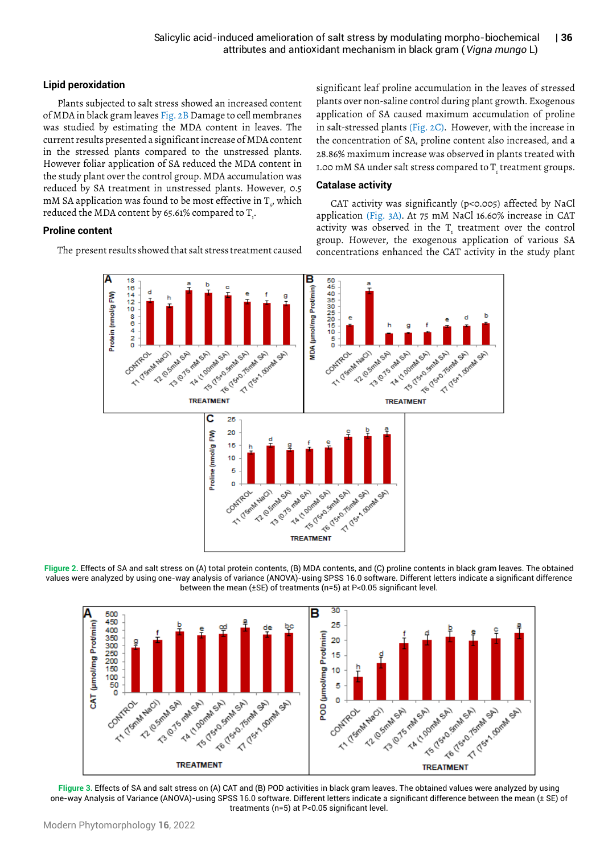#### **Lipid peroxidation**

Plants subjected to salt stress showed an increased content of MDA in black gram leaves Fig. 2B Damage to cell membranes was studied by estimating the MDA content in leaves. The current results presented a significant increase of MDA content in the stressed plants compared to the unstressed plants. However foliar application of SA reduced the MDA content in the study plant over the control group. MDA accumulation was reduced by SA treatment in unstressed plants. However, 0.5 mM SA application was found to be most effective in  $\mathrm{T}_{_{\mathrm{S}}}$ , which reduced the MDA content by 65.61% compared to  $\mathrm{T_{_1}.}$ 

### **Proline content**

The present results showed that salt stress treatment caused

significant leaf proline accumulation in the leaves of stressed plants over non-saline control during plant growth. Exogenous application of SA caused maximum accumulation of proline in salt-stressed plants (Fig. 2C). However, with the increase in the concentration of SA, proline content also increased, and a 28.86% maximum increase was observed in plants treated with 1.00 mM SA under salt stress compared to  $\mathrm{T_i}$  treatment groups.

### **Catalase activity**

CAT activity was significantly (p<0.005) affected by NaCl application (Fig. 3A). At 75 mM NaCl 16.60% increase in CAT activity was observed in the  $T<sub>1</sub>$  treatment over the control group. However, the exogenous application of various SA concentrations enhanced the CAT activity in the study plant



**FIigure 2.** Effects of SA and salt stress on (A) total protein contents, (B) MDA contents, and (C) proline contents in black gram leaves. The obtained values were analyzed by using one-way analysis of variance (ANOVA)-using SPSS 16.0 software. Different letters indicate a significant difference between the mean (±SE) of treatments (n=5) at P<0.05 significant level.



**FIigure 3.** Effects of SA and salt stress on (A) CAT and (B) POD activities in black gram leaves. The obtained values were analyzed by using one-way Analysis of Variance (ANOVA)-using SPSS 16.0 software. Different letters indicate a significant difference between the mean (± SE) of treatments (n=5) at P<0.05 significant level.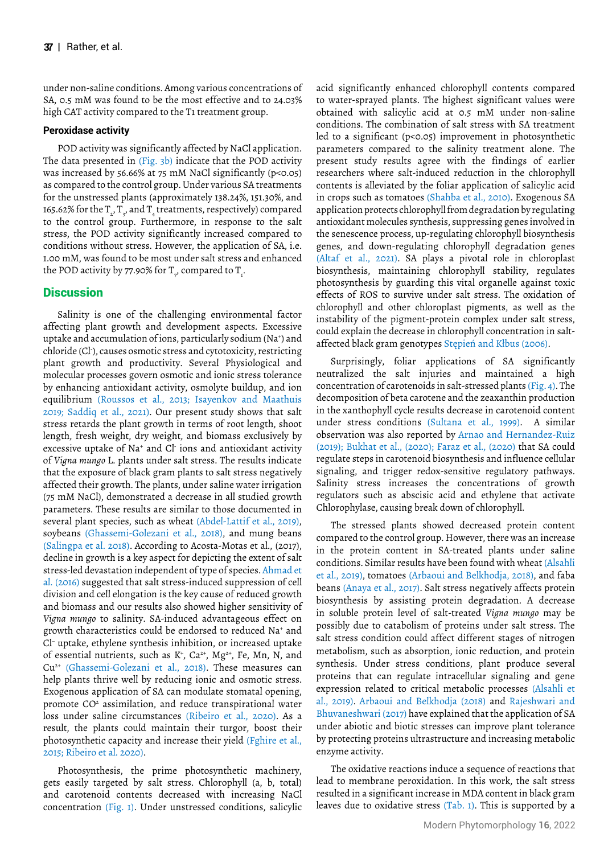under non-saline conditions. Among various concentrations of SA, 0.5 mM was found to be the most effective and to 24.03% high CAT activity compared to the T1 treatment group.

#### **Peroxidase activity**

POD activity was significantly affected by NaCl application. The data presented in (Fig. 3b) indicate that the POD activity was increased by 56.66% at 75 mM NaCl significantly ( $p$ <0.05) as compared to the control group. Under various SA treatments for the unstressed plants (approximately 138.24%, 151.30%, and 165.62% for the  $\text{T}_{_{2}\text{,}}\text{T}_{_{3}\text{,}}$  and  $\text{T}_{_{4}}$  treatments, respectively) compared to the control group. Furthermore, in response to the salt stress, the POD activity significantly increased compared to conditions without stress. However, the application of SA, i.e. 1.00 mM, was found to be most under salt stress and enhanced the POD activity by 77.90% for  $\mathrm{T}_{_{7}}$ , compared to  $\mathrm{T}_{_{1}}$ .

### **Discussion**

Salinity is one of the challenging environmental factor affecting plant growth and development aspects. Excessive uptake and accumulation of ions, particularly sodium (Na+ ) and chloride (Cl- ), causes osmotic stress and cytotoxicity, restricting plant growth and productivity. Several Physiological and molecular processes govern osmotic and ionic stress tolerance by enhancing antioxidant activity, osmolyte buildup, and ion equilibrium (Roussos et al., 2013; Isayenkov and Maathuis 2019; Saddiq et al., 2021). Our present study shows that salt stress retards the plant growth in terms of root length, shoot length, fresh weight, dry weight, and biomass exclusively by excessive uptake of Na<sup>+</sup> and Cl ions and antioxidant activity of *Vigna mungo* L. plants under salt stress. The results indicate that the exposure of black gram plants to salt stress negatively affected their growth. The plants, under saline water irrigation (75 mM NaCl), demonstrated a decrease in all studied growth parameters. These results are similar to those documented in several plant species, such as wheat (Abdel-Lattif et al., 2019), soybeans (Ghassemi-Golezani et al., 2018), and mung beans (Salingpa et al. 2018). According to Acosta-Motas et al., (2017), decline in growth is a key aspect for depicting the extent of salt stress-led devastation independent of type of species. Ahmad et al. (2016) suggested that salt stress-induced suppression of cell division and cell elongation is the key cause of reduced growth and biomass and our results also showed higher sensitivity of *Vigna mungo* to salinity. SA-induced advantageous effect on growth characteristics could be endorsed to reduced Na+ and Cl– uptake, ethylene synthesis inhibition, or increased uptake of essential nutrients, such as  $K^+$ , Ca<sup>2+</sup>, Mg<sup>2+</sup>, Fe, Mn, N, and Cu2+ (Ghassemi-Golezani et al., 2018). These measures can help plants thrive well by reducing ionic and osmotic stress. Exogenous application of SA can modulate stomatal opening, promote CO<sup>2</sup> assimilation, and reduce transpirational water loss under saline circumstances (Ribeiro et al., 2020). As a result, the plants could maintain their turgor, boost their photosynthetic capacity and increase their yield (Fghire et al., 2015; Ribeiro et al. 2020).

Photosynthesis, the prime photosynthetic machinery, gets easily targeted by salt stress. Chlorophyll (a, b, total) and carotenoid contents decreased with increasing NaCl concentration (Fig. 1). Under unstressed conditions, salicylic

acid significantly enhanced chlorophyll contents compared to water-sprayed plants. The highest significant values were obtained with salicylic acid at 0.5 mM under non-saline conditions. The combination of salt stress with SA treatment led to a significant (p<0.05) improvement in photosynthetic parameters compared to the salinity treatment alone. The present study results agree with the findings of earlier researchers where salt-induced reduction in the chlorophyll contents is alleviated by the foliar application of salicylic acid in crops such as tomatoes (Shahba et al., 2010). Exogenous SA application protects chlorophyll from degradation by regulating antioxidant molecules synthesis, suppressing genes involved in the senescence process, up-regulating chlorophyll biosynthesis genes, and down-regulating chlorophyll degradation genes (Altaf et al., 2021). SA plays a pivotal role in chloroplast biosynthesis, maintaining chlorophyll stability, regulates photosynthesis by guarding this vital organelle against toxic effects of ROS to survive under salt stress. The oxidation of chlorophyll and other chloroplast pigments, as well as the instability of the pigment-protein complex under salt stress, could explain the decrease in chlorophyll concentration in saltaffected black gram genotypes Stępień and Kłbus (2006).

Surprisingly, foliar applications of SA significantly neutralized the salt injuries and maintained a high concentration of carotenoids in salt-stressed plants (Fig. 4). The decomposition of beta carotene and the zeaxanthin production in the xanthophyll cycle results decrease in carotenoid content under stress conditions (Sultana et al., 1999). A similar observation was also reported by Arnao and Hernandez-Ruiz (2019); Bukhat et al., (2020); Faraz et al., (2020) that SA could regulate steps in carotenoid biosynthesis and influence cellular signaling, and trigger redox-sensitive regulatory pathways. Salinity stress increases the concentrations of growth regulators such as abscisic acid and ethylene that activate Chlorophylase, causing break down of chlorophyll.

The stressed plants showed decreased protein content compared to the control group. However, there was an increase in the protein content in SA-treated plants under saline conditions. Similar results have been found with wheat (Alsahli et al., 2019), tomatoes (Arbaoui and Belkhodja, 2018), and faba beans (Anaya et al., 2017). Salt stress negatively affects protein biosynthesis by assisting protein degradation. A decrease in soluble protein level of salt-treated *Vigna mungo* may be possibly due to catabolism of proteins under salt stress. The salt stress condition could affect different stages of nitrogen metabolism, such as absorption, ionic reduction, and protein synthesis. Under stress conditions, plant produce several proteins that can regulate intracellular signaling and gene expression related to critical metabolic processes (Alsahli et al., 2019). Arbaoui and Belkhodja (2018) and Rajeshwari and Bhuvaneshwari (2017) have explained that the application of SA under abiotic and biotic stresses can improve plant tolerance by protecting proteins ultrastructure and increasing metabolic enzyme activity.

The oxidative reactions induce a sequence of reactions that lead to membrane peroxidation. In this work, the salt stress resulted in a significant increase in MDA content in black gram leaves due to oxidative stress (Tab. 1). This is supported by a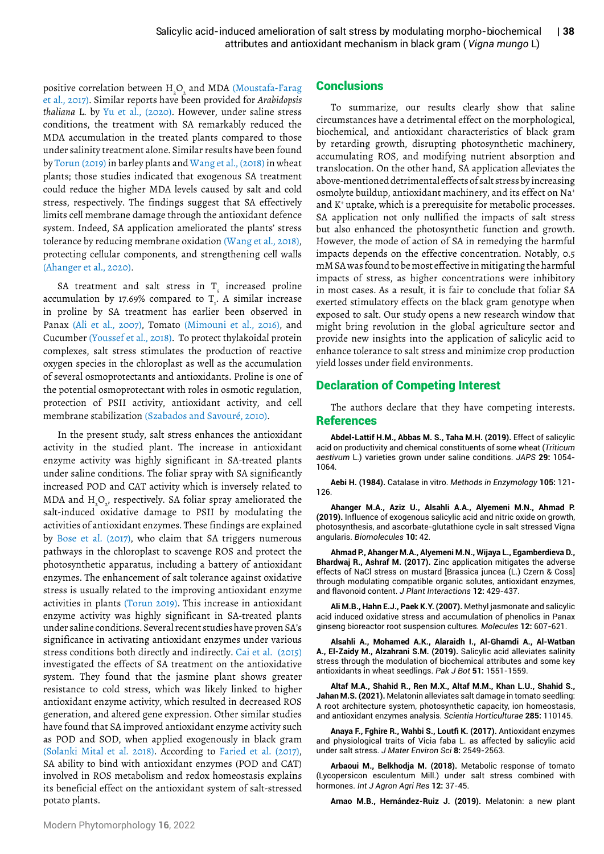positive correlation between  $\mathtt{H}_\mathtt{2}\mathtt{O}_\mathtt{2}$  and MDA (Moustafa-Farag et al., 2017). Similar reports have been provided for *Arabidopsis thaliana* L. by Yu et al., (2020). However, under saline stress conditions, the treatment with SA remarkably reduced the MDA accumulation in the treated plants compared to those under salinity treatment alone. Similar results have been found by Torun (2019) in barley plants and Wang et al., (2018) in wheat plants; those studies indicated that exogenous SA treatment could reduce the higher MDA levels caused by salt and cold stress, respectively. The findings suggest that SA effectively limits cell membrane damage through the antioxidant defence system. Indeed, SA application ameliorated the plants' stress tolerance by reducing membrane oxidation (Wang et al., 2018), protecting cellular components, and strengthening cell walls (Ahanger et al., 2020).

SA treatment and salt stress in  $T_{\rm s}$  increased proline accumulation by 17.69% compared to  $T_i$ . A similar increase in proline by SA treatment has earlier been observed in Panax (Ali et al., 2007), Tomato (Mimouni et al., 2016), and Cucumber (Youssef et al., 2018). To protect thylakoidal protein complexes, salt stress stimulates the production of reactive oxygen species in the chloroplast as well as the accumulation of several osmoprotectants and antioxidants. Proline is one of the potential osmoprotectant with roles in osmotic regulation, protection of PSII activity, antioxidant activity, and cell membrane stabilization (Szabados and Savouré, 2010).

In the present study, salt stress enhances the antioxidant activity in the studied plant. The increase in antioxidant enzyme activity was highly significant in SA-treated plants under saline conditions. The foliar spray with SA significantly increased POD and CAT activity which is inversely related to MDA and  $\mathrm{H}_{_{2}\mathrm{O}_{_{2^{\prime}}}$  respectively. SA foliar spray ameliorated the salt-induced oxidative damage to PSII by modulating the activities of antioxidant enzymes. These findings are explained by Bose et al. (2017), who claim that SA triggers numerous pathways in the chloroplast to scavenge ROS and protect the photosynthetic apparatus, including a battery of antioxidant enzymes. The enhancement of salt tolerance against oxidative stress is usually related to the improving antioxidant enzyme activities in plants (Torun 2019). This increase in antioxidant enzyme activity was highly significant in SA-treated plants under saline conditions. Several recent studies have proven SA's significance in activating antioxidant enzymes under various stress conditions both directly and indirectly. Cai et al. (2015) investigated the effects of SA treatment on the antioxidative system. They found that the jasmine plant shows greater resistance to cold stress, which was likely linked to higher antioxidant enzyme activity, which resulted in decreased ROS generation, and altered gene expression. Other similar studies have found that SA improved antioxidant enzyme activity such as POD and SOD, when applied exogenously in black gram (Solanki Mital et al. 2018). According to Faried et al. (2017), SA ability to bind with antioxidant enzymes (POD and CAT) involved in ROS metabolism and redox homeostasis explains its beneficial effect on the antioxidant system of salt-stressed potato plants.

# **Conclusions**

To summarize, our results clearly show that saline circumstances have a detrimental effect on the morphological, biochemical, and antioxidant characteristics of black gram by retarding growth, disrupting photosynthetic machinery, accumulating ROS, and modifying nutrient absorption and translocation. On the other hand, SA application alleviates the above-mentioned detrimental effects of salt stress by increasing osmolyte buildup, antioxidant machinery, and its effect on Na+ and K+ uptake, which is a prerequisite for metabolic processes. SA application not only nullified the impacts of salt stress but also enhanced the photosynthetic function and growth. However, the mode of action of SA in remedying the harmful impacts depends on the effective concentration. Notably, 0.5 mM SA was found to be most effective in mitigating the harmful impacts of stress, as higher concentrations were inhibitory in most cases. As a result, it is fair to conclude that foliar SA exerted stimulatory effects on the black gram genotype when exposed to salt. Our study opens a new research window that might bring revolution in the global agriculture sector and provide new insights into the application of salicylic acid to enhance tolerance to salt stress and minimize crop production yield losses under field environments.

# Declaration of Competing Interest

The authors declare that they have competing interests. References

**Abdel-Lattif H.M., Abbas M. S., Taha M.H. (2019).** [Effect of salicylic](https://www.researchgate.net/profile/Hm-Abdel-Lattif/publication/336590885_EFFECT_OF_SALICYLIC_ACID_ON_PRODUCTIVITY_AND_CHEMICAL_CONSTITUENTS_OF_SOME_WHEAT_Triticum_aestivum_L_VARIETIES_GROWN_UNDER_SALINE_CONDITIONS/links/5da74f754585159bc3d43599/EFFECT-OF-SALICYLIC-ACID-ON-PRODUCTIVITY-AND-CHEMICAL-CONSTITUENTS-OF-SOME-WHEAT-Triticum-aestivum-L-VARIETIES-GROWN-UNDER-SALINE-CONDITIONS.pdf)  [acid on productivity and chemical constituents of some wheat \(](https://www.researchgate.net/profile/Hm-Abdel-Lattif/publication/336590885_EFFECT_OF_SALICYLIC_ACID_ON_PRODUCTIVITY_AND_CHEMICAL_CONSTITUENTS_OF_SOME_WHEAT_Triticum_aestivum_L_VARIETIES_GROWN_UNDER_SALINE_CONDITIONS/links/5da74f754585159bc3d43599/EFFECT-OF-SALICYLIC-ACID-ON-PRODUCTIVITY-AND-CHEMICAL-CONSTITUENTS-OF-SOME-WHEAT-Triticum-aestivum-L-VARIETIES-GROWN-UNDER-SALINE-CONDITIONS.pdf)*Triticum aestivum* [L.\) varieties grown under saline conditions.](https://www.researchgate.net/profile/Hm-Abdel-Lattif/publication/336590885_EFFECT_OF_SALICYLIC_ACID_ON_PRODUCTIVITY_AND_CHEMICAL_CONSTITUENTS_OF_SOME_WHEAT_Triticum_aestivum_L_VARIETIES_GROWN_UNDER_SALINE_CONDITIONS/links/5da74f754585159bc3d43599/EFFECT-OF-SALICYLIC-ACID-ON-PRODUCTIVITY-AND-CHEMICAL-CONSTITUENTS-OF-SOME-WHEAT-Triticum-aestivum-L-VARIETIES-GROWN-UNDER-SALINE-CONDITIONS.pdf) *JAPS* **29:** 1054- 1064.

**Aebi H. (1984).** [Catalase in vitro.](https://doi.org/10.1016/S0076-6879(84)05016-3) *Methods in Enzymology* **105:** 121- 126.

**Ahanger M.A., Aziz U., Alsahli A.A., Alyemeni M.N., Ahmad P. (2019).** [Influence of exogenous salicylic acid and nitric oxide on growth,](https://www.mdpi.com/2218-273X/10/1/42) [photosynthesis, and ascorbate-glutathione cycle in salt stressed Vigna](https://www.mdpi.com/2218-273X/10/1/42) [angularis](https://www.mdpi.com/2218-273X/10/1/42). *Biomolecules* **10:** 42.

**Ahmad P., Ahanger M.A., Alyemeni M.N., Wijaya L., Egamberdieva D., Bhardwaj R., Ashraf M. (2017).** [Zinc application mitigates the adverse](https://www.tandfonline.com/doi/full/10.1080/17429145.2017.1385867) [effects of NaCl stress on mustard \[Brassica juncea \(L.\) Czern & Coss\]](https://www.tandfonline.com/doi/full/10.1080/17429145.2017.1385867) [through modulating compatible organic solutes, antioxidant enzymes,](https://www.tandfonline.com/doi/full/10.1080/17429145.2017.1385867) [and flavonoid content.](https://www.tandfonline.com/doi/full/10.1080/17429145.2017.1385867) *J Plant Interactions* **12:** 429-437.

**Ali M.B., Hahn E.J., Paek K.Y. (2007).** [Methyl jasmonate and salicylic](https://www.mdpi.com/1420-3049/12/3/607) [acid induced oxidative stress and accumulation of phenolics in Panax](https://www.mdpi.com/1420-3049/12/3/607) [ginseng bioreactor root suspension cultures](https://www.mdpi.com/1420-3049/12/3/607). *Molecules* **12:** 607-621.

**Alsahli A., Mohamed A.K., Alaraidh I., Al-Ghamdi A., Al-Watban A., El-Zaidy M., Alzahrani S.M. (2019).** [Salicylic acid alleviates salinity](https://pakbs.org/pjbot/papers/1560037167.pdf) [stress through the modulation of biochemical attributes and some key](https://pakbs.org/pjbot/papers/1560037167.pdf) [antioxidants in wheat seedlings](https://pakbs.org/pjbot/papers/1560037167.pdf). *Pak J Bot* **51:** 1551-1559.

**Altaf M.A., Shahid R., Ren M.X., Altaf M.M., Khan L.U., Shahid S., Jahan M.S. (2021).** [Melatonin alleviates salt damage in tomato seedling:](https://www.sciencedirect.com/science/article/abs/pii/S0304423821002521) [A root architecture system, photosynthetic capacity, ion homeostasis,](https://www.sciencedirect.com/science/article/abs/pii/S0304423821002521) [and antioxidant enzymes analysis](https://www.sciencedirect.com/science/article/abs/pii/S0304423821002521). *Scientia Horticulturae* **285:** 110145.

**Anaya F., Fghire R., Wahbi S., Loutfi K. (2017).** [Antioxidant enzymes](https://www.researchgate.net/profile/Rachid_Fghire/publication/318262330_Antioxidant_enzymes_and_physiological_traits_of_Vicia_faba_L_as_affected_by_salicylic_acid_under_salt_stress/links/5da4b880a6fdcc8fc35278af/Antioxidant-enzymes-and-physiological-traits-of-Vicia-faba-L-as-affected-by-salicylic-acid-under-salt-stress.pdf)  [and physiological traits of Vicia faba L. as affected by salicylic acid](https://www.researchgate.net/profile/Rachid_Fghire/publication/318262330_Antioxidant_enzymes_and_physiological_traits_of_Vicia_faba_L_as_affected_by_salicylic_acid_under_salt_stress/links/5da4b880a6fdcc8fc35278af/Antioxidant-enzymes-and-physiological-traits-of-Vicia-faba-L-as-affected-by-salicylic-acid-under-salt-stress.pdf) [under salt stress.](https://www.researchgate.net/profile/Rachid_Fghire/publication/318262330_Antioxidant_enzymes_and_physiological_traits_of_Vicia_faba_L_as_affected_by_salicylic_acid_under_salt_stress/links/5da4b880a6fdcc8fc35278af/Antioxidant-enzymes-and-physiological-traits-of-Vicia-faba-L-as-affected-by-salicylic-acid-under-salt-stress.pdf) *J Mater Environ Sci* **8:** 2549-2563.

**Arbaoui M., Belkhodja M. (2018).** [Metabolic response of tomato](https://www.researchgate.net/profile/Arbaoui-Mohamed/publication/346080554_Metabolic_response_of_tomato_Lycopersicon_esculentum_Mill_under_salt_stress_combined_with_hormones/links/5fba43c7a6fdcc6cc65a69da/Metabolic-response-of-tomato-Lycopersicon-esculentum-Mill-under-salt-stress-combined-with-hormones.pdf) [\(Lycopersicon esculentum Mill.\) under salt stress combined with](https://www.researchgate.net/profile/Arbaoui-Mohamed/publication/346080554_Metabolic_response_of_tomato_Lycopersicon_esculentum_Mill_under_salt_stress_combined_with_hormones/links/5fba43c7a6fdcc6cc65a69da/Metabolic-response-of-tomato-Lycopersicon-esculentum-Mill-under-salt-stress-combined-with-hormones.pdf)  [hormones](https://www.researchgate.net/profile/Arbaoui-Mohamed/publication/346080554_Metabolic_response_of_tomato_Lycopersicon_esculentum_Mill_under_salt_stress_combined_with_hormones/links/5fba43c7a6fdcc6cc65a69da/Metabolic-response-of-tomato-Lycopersicon-esculentum-Mill-under-salt-stress-combined-with-hormones.pdf). *Int J Agron Agri Res* **12:** 37-45.

**Arnao M.B., Hernández-Ruiz J. (2019).** [Melatonin: a new plant](https://www.sciencedirect.com/science/article/abs/pii/S1360138518302437)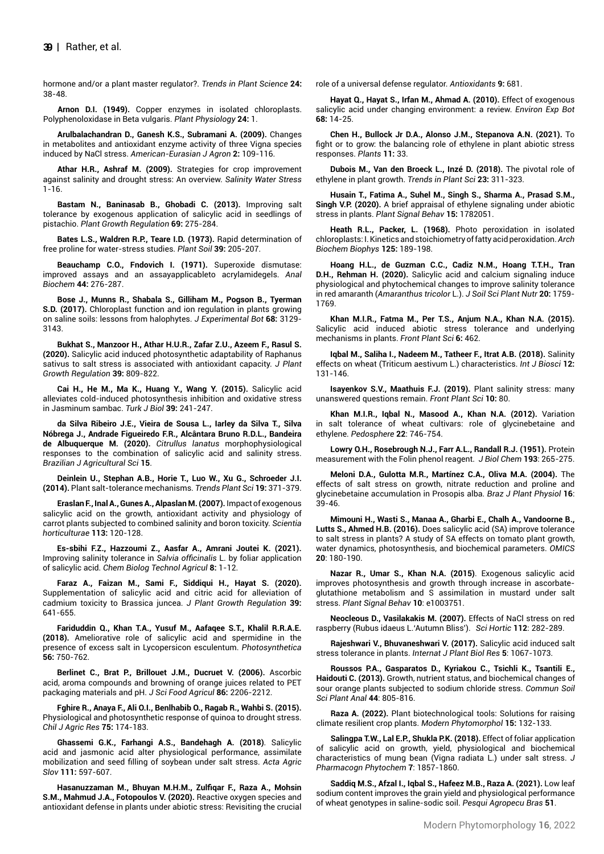[hormone and/or a plant master regulator?](https://www.sciencedirect.com/science/article/abs/pii/S1360138518302437). *Trends in Plant Science* **24:** 38-48.

**Arnon D.I. (1949).** [Copper enzymes in isolated chloroplasts.](https://www.ncbi.nlm.nih.gov/pmc/articles/PMC437905/)  [Polyphenoloxidase in Beta vulgaris](https://www.ncbi.nlm.nih.gov/pmc/articles/PMC437905/). *Plant Physiology* **24:** 1.

**Arulbalachandran D., Ganesh K.S., Subramani A. (2009).** [Changes](http://citeseerx.ist.psu.edu/viewdoc/download?doi=10.1.1.600.6767&rep=rep1&type=pdf)  [in metabolites and antioxidant enzyme activity of three Vigna species](http://citeseerx.ist.psu.edu/viewdoc/download?doi=10.1.1.600.6767&rep=rep1&type=pdf)  [induced by NaCl stress.](http://citeseerx.ist.psu.edu/viewdoc/download?doi=10.1.1.600.6767&rep=rep1&type=pdf) *American-Eurasian J Agron* **2:** 109-116.

**Athar H.R., Ashraf M. (2009).** [Strategies for crop improvement](https://link.springer.com/chapter/10.1007/978-1-4020-9065-3_1)  [against salinity and drought stress: An overview](https://link.springer.com/chapter/10.1007/978-1-4020-9065-3_1). *Salinity Water Stress* 1-16.

**Bastam N., Baninasab B., Ghobadi C. (2013).** [Improving salt](https://link.springer.com/article/10.1007/s10725-012-9770-7)  [tolerance by exogenous application of salicylic acid in seedlings of](https://link.springer.com/article/10.1007/s10725-012-9770-7)  [pistachio.](https://link.springer.com/article/10.1007/s10725-012-9770-7) *Plant Growth Regulation* **69:** 275-284.

**Bates L.S., Waldren R.P., Teare I.D. (1973).** Rapid determination of free proline for water-stress studies. *Plant Soil* **39:** 205-207.

**Beauchamp C.O., Fndovich I. (1971).** [Superoxide dismutase:](https://doi.org/10.1016/0003-2697(71)90370-8)  [improved assays and an assayapplicableto acrylamidegels](https://doi.org/10.1016/0003-2697(71)90370-8). *Anal Biochem* **44:** 276-287.

**Bose J., Munns R., Shabala S., Gilliham M., Pogson B., Tyerman S.D. (2017).** [Chloroplast function and ion regulation in plants growing](https://academic.oup.com/jxb/article/68/12/3129/3784563?login=true)  [on saline soils: lessons from halophytes](https://academic.oup.com/jxb/article/68/12/3129/3784563?login=true). *J Experimental Bot* **68:** 3129- 3143.

**Bukhat S., Manzoor H., Athar H.U.R., Zafar Z.U., Azeem F., Rasul S. (2020).** [Salicylic acid induced photosynthetic adaptability of Raphanus](https://link.springer.com/article/10.1007/s00344-019-10024-z)  [sativus to salt stress is associated with antioxidant capacity](https://link.springer.com/article/10.1007/s00344-019-10024-z). *J Plant Growth Regulation* **39:** 809-822.

**Cai H., He M., Ma K., Huang Y., Wang Y. (2015).** [Salicylic acid](https://journals.tubitak.gov.tr/cgi/viewcontent.cgi?article=1509&context=biology)  [alleviates cold-induced photosynthesis inhibition and oxidative stress](https://journals.tubitak.gov.tr/cgi/viewcontent.cgi?article=1509&context=biology)  [in Jasminum sambac](https://journals.tubitak.gov.tr/cgi/viewcontent.cgi?article=1509&context=biology). *Turk J Biol* **39:** 241-247.

**da Silva Ribeiro J.E., Vieira de Sousa L., Iarley da Silva T., Silva Nóbrega J., Andrade Figueiredo F.R., Alcântara Bruno R.D.L., Bandeira de Albuquerque M. (2020).** *Citrullus lanatus* [morphophysiological](https://scholar.google.com/scholar?hl=en&as_sdt=0%2C5&q=da+Silva+Ribeiro+J.E.%2C+Vieira+de+Sousa+L.%2C+Iarley+da+Silva+T.%2C+Silva+N%C3%B3brega+J.%2C+Andrade+Figueiredo+F.R.%2C+Alc%C3%A2ntara+Bruno+R.D.L.%2C+Bandeira+de+Albuquerque+M.+%282020%29.+Citrullus+lanatus+morphophysiological+responses+to+the+combination+of+salicylic+acid+and+salinity+stress.+Brazilian+J+Agricultural+Sci+&btnG=)  [responses to the combination of salicylic acid and salinity stress](https://scholar.google.com/scholar?hl=en&as_sdt=0%2C5&q=da+Silva+Ribeiro+J.E.%2C+Vieira+de+Sousa+L.%2C+Iarley+da+Silva+T.%2C+Silva+N%C3%B3brega+J.%2C+Andrade+Figueiredo+F.R.%2C+Alc%C3%A2ntara+Bruno+R.D.L.%2C+Bandeira+de+Albuquerque+M.+%282020%29.+Citrullus+lanatus+morphophysiological+responses+to+the+combination+of+salicylic+acid+and+salinity+stress.+Brazilian+J+Agricultural+Sci+&btnG=). *Brazilian J Agricultural Sci* **15**.

**Deinlein U., Stephan A.B., Horie T., Luo W., Xu G., Schroeder J.I. (2014).** [Plant salt-tolerance mechanisms](https://www.sciencedirect.com/science/article/abs/pii/S1360138514000302). *Trends Plant Sci* **19:** 371-379.

**Eraslan F., Inal A., Gunes A., Alpaslan M. (2007).** [Impact of exogenous](https://www.sciencedirect.com/science/article/abs/pii/S0304423807001215)  [salicylic acid on the growth, antioxidant activity and physiology of](https://www.sciencedirect.com/science/article/abs/pii/S0304423807001215)  [carrot plants subjected to combined salinity and boron toxicity.](https://www.sciencedirect.com/science/article/abs/pii/S0304423807001215) *Scientia horticulturae* **113:** 120-128.

**Es-sbihi F.Z., Hazzoumi Z., Aasfar A., Amrani Joutei K. (2021).**  [Improving salinity tolerance in](https://link.springer.com/article/10.1186/s40538-021-00221-y) *Salvia officinalis* L. by foliar application [of salicylic acid](https://link.springer.com/article/10.1186/s40538-021-00221-y). *Chem Biolog Technol Agricul* **8:** 1-12.

**Faraz A., Faizan M., Sami F., Siddiqui H., Hayat S. (2020).**  [Supplementation of salicylic acid and citric acid for alleviation of](https://link.springer.com/article/10.1007/s00344-019-10007-0)  [cadmium toxicity to Brassica juncea.](https://link.springer.com/article/10.1007/s00344-019-10007-0) *J Plant Growth Regulation* **39:** 641-655.

**Fariduddin Q., Khan T.A., Yusuf M., Aafaqee S.T., Khalil R.R.A.E. (2018).** [Ameliorative role of salicylic acid and spermidine in the](https://link.springer.com/article/10.1007/s11099-017-0727-y)  [presence of excess salt in Lycopersicon esculentum](https://link.springer.com/article/10.1007/s11099-017-0727-y). *Photosynthetica* **56:** 750-762.

**Berlinet C., Brat P., Brillouet J.M., Ducruet V. (2006).** [Ascorbic](https://onlinelibrary.wiley.com/doi/abs/10.1002/jsfa.2597)  [acid, aroma compounds and browning of orange juices related to PET](https://onlinelibrary.wiley.com/doi/abs/10.1002/jsfa.2597)  [packaging materials and pH](https://onlinelibrary.wiley.com/doi/abs/10.1002/jsfa.2597). *J Sci Food Agricul* **86:** 2206-2212.

**Fghire R., Anaya F., Ali O.I., Benlhabib O., Ragab R., Wahbi S. (2015).** [Physiological and photosynthetic response of quinoa to drought stress](https://scielo.conicyt.cl/scielo.php?pid=S0718-58392015000200006&script=sci_arttext). *Chil J Agric Res* **75:** 174-183.

**Ghassemi G.K., Farhangi A.S., Bandehagh A. (2018)**. [Salicylic](http://ojs.aas.bf.uni-lj.si/index.php/AAS/article/view/783)  [acid and jasmonic acid alter physiological performance, assimilate](http://ojs.aas.bf.uni-lj.si/index.php/AAS/article/view/783)  [mobilization and seed filling of soybean under salt stress](http://ojs.aas.bf.uni-lj.si/index.php/AAS/article/view/783). *Acta Agric Slov* **111:** 597-607.

**Hasanuzzaman M., Bhuyan M.H.M., Zulfiqar F., Raza A., Mohsin S.M., Mahmud J.A., Fotopoulos V. (2020).** [Reactive oxygen species and](https://www.mdpi.com/2076-3921/9/8/681)  [antioxidant defense in plants under abiotic stress: Revisiting the crucial](https://www.mdpi.com/2076-3921/9/8/681)  [role of a universal defense regulator.](https://www.mdpi.com/2076-3921/9/8/681) *Antioxidants* **9:** 681.

**Hayat Q., Hayat S., Irfan M., Ahmad A. (2010).** [Effect of exogenous](https://www.sciencedirect.com/science/article/abs/pii/S0098847209001579)  [salicylic acid under changing environment: a review.](https://www.sciencedirect.com/science/article/abs/pii/S0098847209001579) *Environ Exp Bot* **68:** 14-25.

**Chen H., Bullock Jr D.A., Alonso J.M., Stepanova A.N. (2021).** [To](https://www.mdpi.com/2223-7747/11/1/33)  fig[ht or to grow: the balancing role of ethylene in plant abiotic stress](https://www.mdpi.com/2223-7747/11/1/33)  [responses.](https://www.mdpi.com/2223-7747/11/1/33) *Plants* **11:** 33.

**Dubois M., Van den Broeck L., Inzé D. (2018).** [The pivotal role of](https://www.sciencedirect.com/science/article/pii/S1360138518300153)  [ethylene in plant growth.](https://www.sciencedirect.com/science/article/pii/S1360138518300153) *Trends in Plant Sci* **23:** 311-323.

**Husain T., Fatima A., Suhel M., Singh S., Sharma A., Prasad S.M., Singh V.P. (2020).** [A brief appraisal of ethylene signaling under abiotic](https://www.tandfonline.com/doi/full/10.1080/15592324.2020.1782051)  [stress in plants.](https://www.tandfonline.com/doi/full/10.1080/15592324.2020.1782051) *Plant Signal Behav* **15:** 1782051.

**Heath R.L., Packer, L. (1968).** [Photo peroxidation in isolated](https://www.sciencedirect.com/science/article/abs/pii/0003986168906541)  [chloroplasts: I. Kinetics and stoichiometry of fatty acid peroxidation.](https://www.sciencedirect.com/science/article/abs/pii/0003986168906541)*Arch Biochem Biophys* **125:** 189-198.

**Hoang H.L., de Guzman C.C., Cadiz N.M., Hoang T.T.H., Tran D.H., Rehman H. (2020).** [Salicylic acid and calcium signaling induce](https://link.springer.com/article/10.1007/s42729-020-00248-4)  [physiological and phytochemical changes to improve salinity tolerance](https://link.springer.com/article/10.1007/s42729-020-00248-4)  in red amaranth (*[Amaranthus tricolor](https://link.springer.com/article/10.1007/s42729-020-00248-4)* L.). *J Soil Sci Plant Nutr* **20:** 1759- 1769.

**Khan M.I.R., Fatma M., Per T.S., Anjum N.A., Khan N.A. (2015).** [Salicylic acid induced abiotic stress tolerance and underlying](https://www.frontiersin.org/articles/10.3389/fpls.2015.00462/full)  [mechanisms in plants.](https://www.frontiersin.org/articles/10.3389/fpls.2015.00462/full) *Front Plant Sci* **6:** 462.

**Iqbal M., Saliha I., Nadeem M., Tatheer F., Itrat A.B. (2018).** [Salinity](https://www.researchgate.net/profile/Muzafar-Iqbal/publication/338047130_Iqbal_et_al_Salinity_effects_on_Wheat_Triticum_aestivum_L_characteristics_A_Review_Article/links/5dfb8745299bf10bc3678614/Iqbal-et-al-Salinity-effects-on-Wheat-Triticum-aestivum-L-characteristics-A-Review-Article.pdf)  [effects on wheat \(Triticum aestivum L.\) characteristics.](https://www.researchgate.net/profile/Muzafar-Iqbal/publication/338047130_Iqbal_et_al_Salinity_effects_on_Wheat_Triticum_aestivum_L_characteristics_A_Review_Article/links/5dfb8745299bf10bc3678614/Iqbal-et-al-Salinity-effects-on-Wheat-Triticum-aestivum-L-characteristics-A-Review-Article.pdf) *Int J Biosci* **12:** 131-146.

**Isayenkov S.V., Maathuis F.J. (2019).** [Plant salinity stress: many](https://www.frontiersin.org/articles/10.3389/fpls.2019.00080/full)  [unanswered questions remain.](https://www.frontiersin.org/articles/10.3389/fpls.2019.00080/full) *Front Plant Sci* **10:** 80.

**Khan M.I.R., Iqbal N., Masood A., Khan N.A. (2012).** [Variation](https://www.sciencedirect.com/science/article/abs/pii/S1002016012600605)  [in salt tolerance of wheat cultivars: role of glycinebetaine and](https://www.sciencedirect.com/science/article/abs/pii/S1002016012600605)  [ethylene.](https://www.sciencedirect.com/science/article/abs/pii/S1002016012600605) *Pedosphere* **22**: 746-754.

**Lowry O.H., Rosebrough N.J., Farr A.L., Randall R.J. (1951).** [Protein](https://www.sciencedirect.com/science/article/pii/S0021925819524516)  [measurement with the Folin phenol reagent.](https://www.sciencedirect.com/science/article/pii/S0021925819524516)  *J Biol Chem* **193**: 265-275.

**Meloni D.A., Gulotta M.R., Martínez C.A., Oliva M.A. (2004).** [The](https://www.scielo.br/j/bjpp/a/Xqjx3WBDbTTD7DMJ97BRzLD/?format=pdf&lang=en)  [effects of salt stress on growth, nitrate reduction and proline and](https://www.scielo.br/j/bjpp/a/Xqjx3WBDbTTD7DMJ97BRzLD/?format=pdf&lang=en)  [glycinebetaine accumulation in Prosopis alba](https://www.scielo.br/j/bjpp/a/Xqjx3WBDbTTD7DMJ97BRzLD/?format=pdf&lang=en). *Braz J Plant Physiol* **16**: 39-46.

**Mimouni H., Wasti S., Manaa A., Gharbi E., Chalh A., Vandoorne B., Lutts S., Ahmed H.B. (2016).** [Does salicylic acid \(SA\) improve tolerance](https://www.liebertpub.com/doi/abs/10.1089/omi.2015.0161)  [to salt stress in plants? A study of SA effects on tomato plant growth,](https://www.liebertpub.com/doi/abs/10.1089/omi.2015.0161)  [water dynamics, photosynthesis, and biochemical parameters.](https://www.liebertpub.com/doi/abs/10.1089/omi.2015.0161) *OMICS* **20**: 180-190.

**Nazar R., Umar S., Khan N.A. (2015)**. [Exogenous salicylic acid](https://www.tandfonline.com/doi/full/10.1080/15592324.2014.1003751)  [improves photosynthesis and growth through increase in ascorbate](https://www.tandfonline.com/doi/full/10.1080/15592324.2014.1003751)[glutathione metabolism and S assimilation in mustard under salt](https://www.tandfonline.com/doi/full/10.1080/15592324.2014.1003751)  [stress.](https://www.tandfonline.com/doi/full/10.1080/15592324.2014.1003751) *Plant Signal Behav* **10**: e1003751.

**Neocleous D., Vasilakakis M. (2007).** [Effects of NaCl stress on red](https://www.sciencedirect.com/science/article/abs/pii/S0304423806005139)  [raspberry \(Rubus idaeus L.'Autumn Bliss'\).](https://www.sciencedirect.com/science/article/abs/pii/S0304423806005139)  *Sci Hortic* **112**: 282-289.

**Rajeshwari V., Bhuvaneshwari V. (2017).** [Salicylic acid induced salt](https://www.abrinternationaljournal.org/articles/an-update-on-role-of-salicylic-acidsa-in-abiotic-stress-tolerance-in-crop-plants-a-review-88797.html)  [stress tolerance in plants](https://www.abrinternationaljournal.org/articles/an-update-on-role-of-salicylic-acidsa-in-abiotic-stress-tolerance-in-crop-plants-a-review-88797.html). *Internat J Plant Biol Res* **5**: 1067-1073.

**Roussos P.A., Gasparatos D., Kyriakou C., Tsichli K., Tsantili E., Haidouti C. (2013).** [Growth, nutrient status, and biochemical changes of](https://www.tandfonline.com/doi/abs/10.1080/00103624.2013.749438)  [sour orange plants subjected to sodium chloride stress.](https://www.tandfonline.com/doi/abs/10.1080/00103624.2013.749438) *Commun Soil Sci Plant Anal* **44**: 805-816.

**Raza A. (2022).** [Plant biotechnological tools: Solutions for raising](https://www.phytomorphology.com/articles/plant-biotechnological-tools-solutions-for-raising-climateresilient-crop-plants.pdf)  [climate resilient crop plants](https://www.phytomorphology.com/articles/plant-biotechnological-tools-solutions-for-raising-climateresilient-crop-plants.pdf). *Modern Phytomorphol* **15:** 132-133.

**Salingpa T.W., Lal E.P., Shukla P.K. (2018).** [Effect of foliar application](https://www.phytojournal.com/archives/2018/vol7issue6/PartAG/7-3-573-347.pdf)  [of salicylic acid on growth, yield, physiological and biochemical](https://www.phytojournal.com/archives/2018/vol7issue6/PartAG/7-3-573-347.pdf)  [characteristics of mung bean \(Vigna radiata L.\) under salt stress.](https://www.phytojournal.com/archives/2018/vol7issue6/PartAG/7-3-573-347.pdf) *J Pharmacogn Phytochem* **7**: 1857-1860.

**Saddiq M.S., Afzal I., Iqbal S., Hafeez M.B., Raza A. (2021).** [Low leaf](https://www.scielo.br/j/pat/a/3TJKNrjkmBVKx7CSj5GyXjq/?lang=en)  [sodium content improves the grain yield and physiological performance](https://www.scielo.br/j/pat/a/3TJKNrjkmBVKx7CSj5GyXjq/?lang=en)  [of wheat genotypes in saline-sodic soil.](https://www.scielo.br/j/pat/a/3TJKNrjkmBVKx7CSj5GyXjq/?lang=en) *Pesqui Agropecu Bras* **51**.